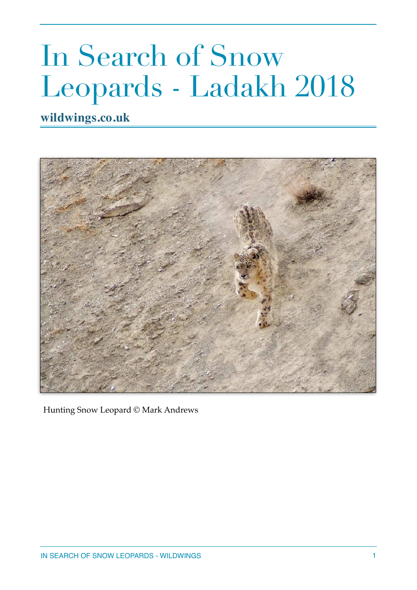## In Search of Snow Leopards - Ladakh 2018

**wildwings.co.uk**



Hunting Snow Leopard © Mark Andrews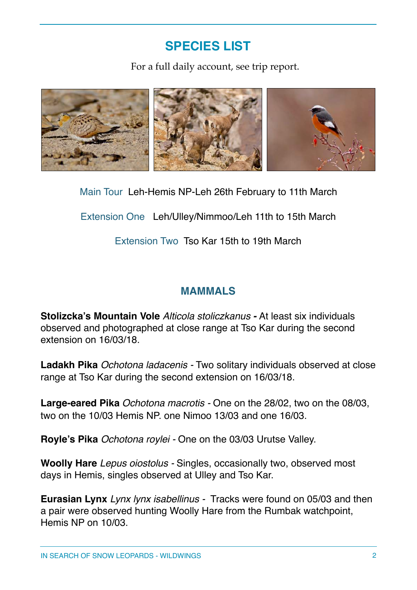## **SPECIES LIST**

For a full daily account, see trip report.



Main Tour Leh-Hemis NP-Leh 26th February to 11th March

Extension One Leh/Ulley/Nimmoo/Leh 11th to 15th March

Extension Two Tso Kar 15th to 19th March

## **MAMMALS**

**Stolizcka's Mountain Vole** *Alticola stoliczkanus -* At least six individuals observed and photographed at close range at Tso Kar during the second extension on 16/03/18.

**Ladakh Pika** *Ochotona ladacenis -* Two solitary individuals observed at close range at Tso Kar during the second extension on 16/03/18.

**Large-eared Pika** *Ochotona macrotis -* One on the 28/02, two on the 08/03, two on the 10/03 Hemis NP. one Nimoo 13/03 and one 16/03.

**Royle's Pika** *Ochotona roylei -* One on the 03/03 Urutse Valley.

**Woolly Hare** *Lepus oiostolus -* Singles, occasionally two, observed most days in Hemis, singles observed at Ulley and Tso Kar.

**Eurasian Lynx** *Lynx lynx isabellinus -* Tracks were found on 05/03 and then a pair were observed hunting Woolly Hare from the Rumbak watchpoint, Hemis NP on 10/03.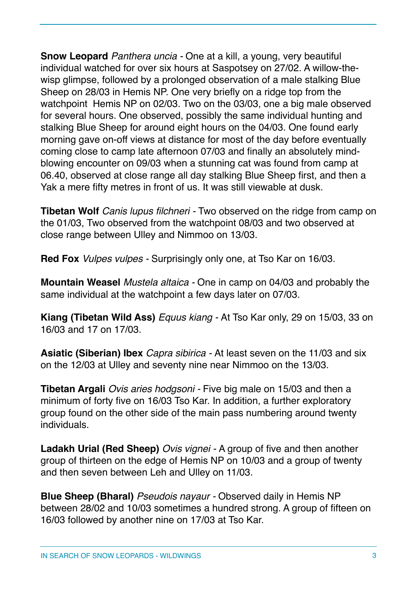**Snow Leopard** *Panthera uncia -* One at a kill, a young, very beautiful individual watched for over six hours at Saspotsey on 27/02. A willow-thewisp glimpse, followed by a prolonged observation of a male stalking Blue Sheep on 28/03 in Hemis NP. One very briefly on a ridge top from the watchpoint Hemis NP on 02/03. Two on the 03/03, one a big male observed for several hours. One observed, possibly the same individual hunting and stalking Blue Sheep for around eight hours on the 04/03. One found early morning gave on-off views at distance for most of the day before eventually coming close to camp late afternoon 07/03 and finally an absolutely mindblowing encounter on 09/03 when a stunning cat was found from camp at 06.40, observed at close range all day stalking Blue Sheep first, and then a Yak a mere fifty metres in front of us. It was still viewable at dusk.

**Tibetan Wolf** *Canis lupus filchneri -* Two observed on the ridge from camp on the 01/03, Two observed from the watchpoint 08/03 and two observed at close range between Ulley and Nimmoo on 13/03.

**Red Fox** *Vulpes vulpes -* Surprisingly only one, at Tso Kar on 16/03.

**Mountain Weasel** *Mustela altaica -* One in camp on 04/03 and probably the same individual at the watchpoint a few days later on 07/03.

**Kiang (Tibetan Wild Ass)** *Equus kiang -* At Tso Kar only, 29 on 15/03, 33 on 16/03 and 17 on 17/03.

**Asiatic (Siberian) Ibex** *Capra sibirica -* At least seven on the 11/03 and six on the 12/03 at Ulley and seventy nine near Nimmoo on the 13/03.

**Tibetan Argali** *Ovis aries hodgsoni -* Five big male on 15/03 and then a minimum of forty five on 16/03 Tso Kar. In addition, a further exploratory group found on the other side of the main pass numbering around twenty individuals.

**Ladakh Urial (Red Sheep)** *Ovis vignei -* A group of five and then another group of thirteen on the edge of Hemis NP on 10/03 and a group of twenty and then seven between Leh and Ulley on 11/03.

**Blue Sheep (Bharal)** *Pseudois nayaur -* Observed daily in Hemis NP between 28/02 and 10/03 sometimes a hundred strong. A group of fifteen on 16/03 followed by another nine on 17/03 at Tso Kar.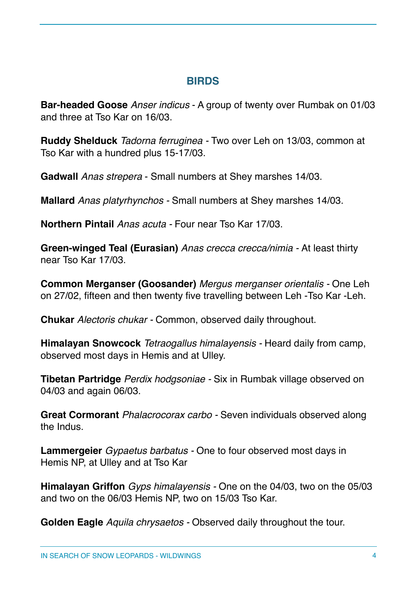## **BIRDS**

**Bar-headed Goose** *Anser indicus* - A group of twenty over Rumbak on 01/03 and three at Tso Kar on 16/03.

**Ruddy Shelduck** *Tadorna ferruginea -* Two over Leh on 13/03, common at Tso Kar with a hundred plus 15-17/03.

**Gadwall** *Anas strepera* - Small numbers at Shey marshes 14/03.

**Mallard** *Anas platyrhynchos -* Small numbers at Shey marshes 14/03.

**Northern Pintail** *Anas acuta -* Four near Tso Kar 17/03.

**Green-winged Teal (Eurasian)** *Anas crecca crecca/nimia -* At least thirty near Tso Kar 17/03.

**Common Merganser (Goosander)** *Mergus merganser orientalis -* One Leh on 27/02, fifteen and then twenty five travelling between Leh -Tso Kar -Leh.

**Chukar** *Alectoris chukar -* Common, observed daily throughout.

**Himalayan Snowcock** *Tetraogallus himalayensis -* Heard daily from camp, observed most days in Hemis and at Ulley.

**Tibetan Partridge** *Perdix hodgsoniae -* Six in Rumbak village observed on 04/03 and again 06/03.

**Great Cormorant** *Phalacrocorax carbo -* Seven individuals observed along the Indus.

**Lammergeier** *Gypaetus barbatus -* One to four observed most days in Hemis NP, at Ulley and at Tso Kar

**Himalayan Griffon** *Gyps himalayensis -* One on the 04/03, two on the 05/03 and two on the 06/03 Hemis NP, two on 15/03 Tso Kar.

**Golden Eagle** *Aquila chrysaetos -* Observed daily throughout the tour.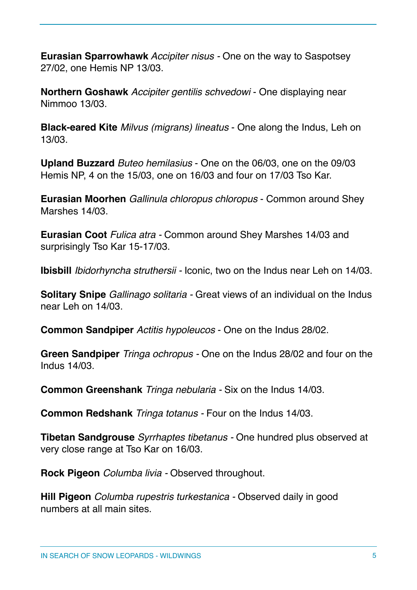**Eurasian Sparrowhawk** *Accipiter nisus -* One on the way to Saspotsey 27/02, one Hemis NP 13/03.

**Northern Goshawk** *Accipiter gentilis schvedowi* - One displaying near Nimmoo 13/03.

**Black-eared Kite** *Milvus (migrans) lineatus* - One along the Indus, Leh on 13/03.

**Upland Buzzard** *Buteo hemilasius* - One on the 06/03, one on the 09/03 Hemis NP, 4 on the 15/03, one on 16/03 and four on 17/03 Tso Kar.

**Eurasian Moorhen** *Gallinula chloropus chloropus* - Common around Shey Marshes 14/03.

**Eurasian Coot** *Fulica atra -* Common around Shey Marshes 14/03 and surprisingly Tso Kar 15-17/03.

**Ibisbill** *Ibidorhyncha struthersii -* Iconic, two on the Indus near Leh on 14/03.

**Solitary Snipe** *Gallinago solitaria -* Great views of an individual on the Indus near Leh on 14/03.

**Common Sandpiper** *Actitis hypoleucos* - One on the Indus 28/02.

**Green Sandpiper** *Tringa ochropus -* One on the Indus 28/02 and four on the Indus 14/03.

**Common Greenshank** *Tringa nebularia -* Six on the Indus 14/03.

**Common Redshank** *Tringa totanus -* Four on the Indus 14/03.

**Tibetan Sandgrouse** *Syrrhaptes tibetanus -* One hundred plus observed at very close range at Tso Kar on 16/03.

**Rock Pigeon** *Columba livia -* Observed throughout.

**Hill Pigeon** *Columba rupestris turkestanica -* Observed daily in good numbers at all main sites.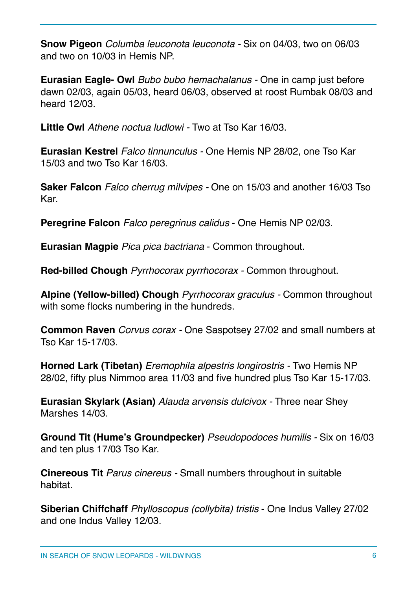**Snow Pigeon** *Columba leuconota leuconota -* Six on 04/03, two on 06/03 and two on 10/03 in Hemis NP.

**Eurasian Eagle- Owl** *Bubo bubo hemachalanus -* One in camp just before dawn 02/03, again 05/03, heard 06/03, observed at roost Rumbak 08/03 and heard 12/03.

**Little Owl** *Athene noctua ludlowi -* Two at Tso Kar 16/03.

**Eurasian Kestrel** *Falco tinnunculus -* One Hemis NP 28/02, one Tso Kar 15/03 and two Tso Kar 16/03.

**Saker Falcon** *Falco cherrug milvipes -* One on 15/03 and another 16/03 Tso Kar.

**Peregrine Falcon** *Falco peregrinus calidus* - One Hemis NP 02/03.

**Eurasian Magpie** *Pica pica bactriana* - Common throughout.

**Red-billed Chough** *Pyrrhocorax pyrrhocorax -* Common throughout.

**Alpine (Yellow-billed) Chough** *Pyrrhocorax graculus -* Common throughout with some flocks numbering in the hundreds.

**Common Raven** *Corvus corax -* One Saspotsey 27/02 and small numbers at Tso Kar 15-17/03.

**Horned Lark (Tibetan)** *Eremophila alpestris longirostris -* Two Hemis NP 28/02, fifty plus Nimmoo area 11/03 and five hundred plus Tso Kar 15-17/03.

**Eurasian Skylark (Asian)** *Alauda arvensis dulcivox -* Three near Shey Marshes 14/03.

**Ground Tit (Hume's Groundpecker)** *Pseudopodoces humilis -* Six on 16/03 and ten plus 17/03 Tso Kar.

**Cinereous Tit** *Parus cinereus -* Small numbers throughout in suitable habitat.

**Siberian Chiffchaff** *Phylloscopus (collybita) tristis* - One Indus Valley 27/02 and one Indus Valley 12/03.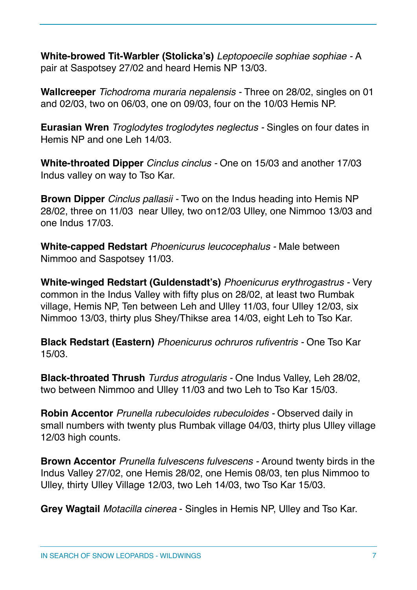**White-browed Tit-Warbler (Stolicka's)** *Leptopoecile sophiae sophiae -* A pair at Saspotsey 27/02 and heard Hemis NP 13/03.

**Wallcreeper** *Tichodroma muraria nepalensis -* Three on 28/02, singles on 01 and 02/03, two on 06/03, one on 09/03, four on the 10/03 Hemis NP.

**Eurasian Wren** *Troglodytes troglodytes neglectus -* Singles on four dates in Hemis NP and one Leh 14/03.

**White-throated Dipper** *Cinclus cinclus -* One on 15/03 and another 17/03 Indus valley on way to Tso Kar.

**Brown Dipper** *Cinclus pallasii -* Two on the Indus heading into Hemis NP 28/02, three on 11/03 near Ulley, two on12/03 Ulley, one Nimmoo 13/03 and one Indus 17/03.

**White-capped Redstart** *Phoenicurus leucocephalus -* Male between Nimmoo and Saspotsey 11/03.

**White-winged Redstart (Guldenstadt's)** *Phoenicurus erythrogastrus -* Very common in the Indus Valley with fifty plus on 28/02, at least two Rumbak village, Hemis NP, Ten between Leh and Ulley 11/03, four Ulley 12/03, six Nimmoo 13/03, thirty plus Shey/Thikse area 14/03, eight Leh to Tso Kar.

**Black Redstart (Eastern)** *Phoenicurus ochruros rufiventris -* One Tso Kar 15/03.

**Black-throated Thrush** *Turdus atrogularis -* One Indus Valley, Leh 28/02, two between Nimmoo and Ulley 11/03 and two Leh to Tso Kar 15/03.

**Robin Accentor** *Prunella rubeculoides rubeculoides -* Observed daily in small numbers with twenty plus Rumbak village 04/03, thirty plus Ulley village 12/03 high counts.

**Brown Accentor** *Prunella fulvescens fulvescens -* Around twenty birds in the Indus Valley 27/02, one Hemis 28/02, one Hemis 08/03, ten plus Nimmoo to Ulley, thirty Ulley Village 12/03, two Leh 14/03, two Tso Kar 15/03.

**Grey Wagtail** *Motacilla cinerea* - Singles in Hemis NP, Ulley and Tso Kar.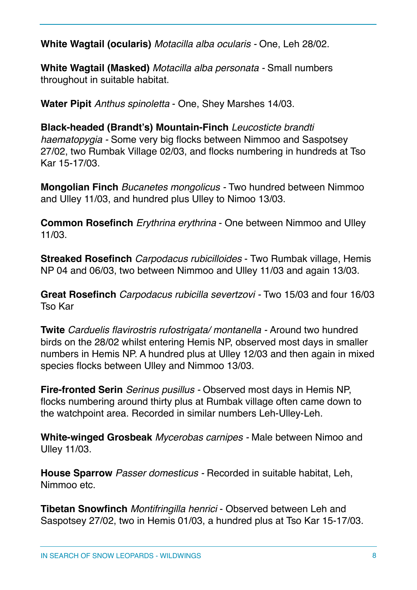**White Wagtail (ocularis)** *Motacilla alba ocularis -* One, Leh 28/02.

**White Wagtail (Masked)** *Motacilla alba personata -* Small numbers throughout in suitable habitat.

**Water Pipit** *Anthus spinoletta* - One, Shey Marshes 14/03.

**Black-headed (Brandt's) Mountain-Finch** *Leucosticte brandti haematopygia -* Some very big flocks between Nimmoo and Saspotsey 27/02, two Rumbak Village 02/03, and flocks numbering in hundreds at Tso Kar 15-17/03.

**Mongolian Finch** *Bucanetes mongolicus -* Two hundred between Nimmoo and Ulley 11/03, and hundred plus Ulley to Nimoo 13/03.

**Common Rosefinch** *Erythrina erythrina* - One between Nimmoo and Ulley 11/03.

**Streaked Rosefinch** *Carpodacus rubicilloides* - Two Rumbak village, Hemis NP 04 and 06/03, two between Nimmoo and Ulley 11/03 and again 13/03.

**Great Rosefinch** *Carpodacus rubicilla severtzovi -* Two 15/03 and four 16/03 Tso Kar

**Twite** *Carduelis flavirostris rufostrigata/ montanella -* Around two hundred birds on the 28/02 whilst entering Hemis NP, observed most days in smaller numbers in Hemis NP. A hundred plus at Ulley 12/03 and then again in mixed species flocks between Ulley and Nimmoo 13/03.

**Fire-fronted Serin** *Serinus pusillus -* Observed most days in Hemis NP, flocks numbering around thirty plus at Rumbak village often came down to the watchpoint area. Recorded in similar numbers Leh-Ulley-Leh.

**White-winged Grosbeak** *Mycerobas carnipes -* Male between Nimoo and Ulley 11/03.

**House Sparrow** *Passer domesticus -* Recorded in suitable habitat, Leh, Nimmoo etc.

**Tibetan Snowfinch** *Montifringilla henrici* - Observed between Leh and Saspotsey 27/02, two in Hemis 01/03, a hundred plus at Tso Kar 15-17/03.